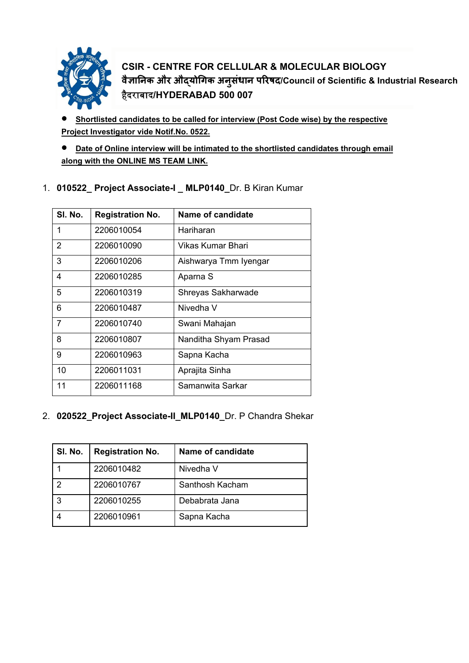

**CSIR - CENTRE FOR CELLULAR & MOLECULAR BIOLOGY वैज्ञािनक और औɮयोिगक अनु संधान पिरषद/Council of Scientific & Industrial Research**  हैदराबाद**/HYDERABAD 500 007**

• **Shortlisted candidates to be called for interview (Post Code wise) by the respective Project Investigator vide Notif.No. 0522.**

• **Date of Online interview will be intimated to the shortlisted candidates through email along with the ONLINE MS TEAM LINK.**

| SI. No. | <b>Registration No.</b> | Name of candidate     |
|---------|-------------------------|-----------------------|
| 1       | 2206010054              | Hariharan             |
| 2       | 2206010090              | Vikas Kumar Bhari     |
| 3       | 2206010206              | Aishwarya Tmm Iyengar |
| 4       | 2206010285              | Aparna S              |
| 5       | 2206010319              | Shreyas Sakharwade    |
| 6       | 2206010487              | Nivedha V             |
| 7       | 2206010740              | Swani Mahajan         |
| 8       | 2206010807              | Nanditha Shyam Prasad |
| 9       | 2206010963              | Sapna Kacha           |
| 10      | 2206011031              | Aprajita Sinha        |
| 11      | 2206011168              | Samanwita Sarkar      |

1. **010522\_ Project Associate-I \_ MLP0140\_**Dr. B Kiran Kumar

2. **020522\_Project Associate-II\_MLP0140\_**Dr. P Chandra Shekar

| SI. No. | <b>Registration No.</b> | Name of candidate |
|---------|-------------------------|-------------------|
|         | 2206010482              | Nivedha V         |
|         | 2206010767              | Santhosh Kacham   |
| 3       | 2206010255              | Debabrata Jana    |
|         | 2206010961              | Sapna Kacha       |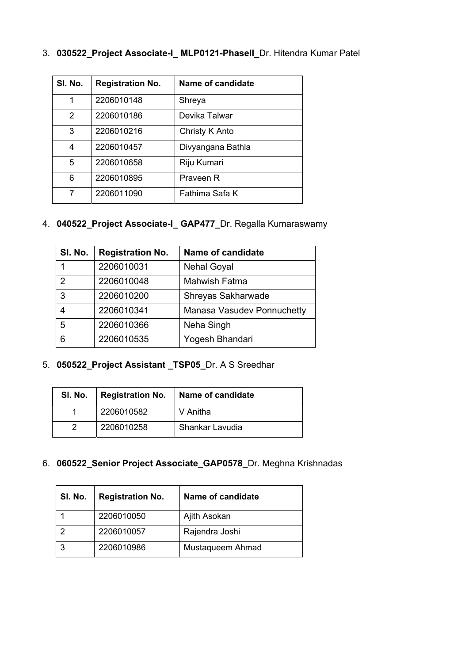|  |  |  |  | 3. 030522_Project Associate-I_ MLP0121-PhaseII_Dr. Hitendra Kumar Patel |
|--|--|--|--|-------------------------------------------------------------------------|
|--|--|--|--|-------------------------------------------------------------------------|

| SI. No. | <b>Registration No.</b> | Name of candidate |
|---------|-------------------------|-------------------|
| 1       | 2206010148              | Shreya            |
| 2       | 2206010186              | Devika Talwar     |
| 3       | 2206010216              | Christy K Anto    |
| 4       | 2206010457              | Divyangana Bathla |
| 5       | 2206010658              | Riju Kumari       |
| 6       | 2206010895              | Praveen R         |
| 7       | 2206011090              | Fathima Safa K    |

# 4. **040522\_Project Associate-I\_ GAP477\_**Dr. Regalla Kumaraswamy

| SI. No.        | <b>Registration No.</b> | Name of candidate          |
|----------------|-------------------------|----------------------------|
|                | 2206010031              | <b>Nehal Goyal</b>         |
| $\overline{2}$ | 2206010048              | <b>Mahwish Fatma</b>       |
| 3              | 2206010200              | Shreyas Sakharwade         |
|                | 2206010341              | Manasa Vasudev Ponnuchetty |
| 5              | 2206010366              | Neha Singh                 |
| 6              | 2206010535              | Yogesh Bhandari            |

5. **050522\_Project Assistant \_TSP05\_**Dr. A S Sreedhar

|            | SI. No.   Registration No.   Name of candidate |
|------------|------------------------------------------------|
| 2206010582 | V Anitha                                       |
| 2206010258 | Shankar Lavudia                                |

6. **060522\_Senior Project Associate\_GAP0578\_**Dr. Meghna Krishnadas

| SI. No. | <b>Registration No.</b> | Name of candidate |
|---------|-------------------------|-------------------|
|         | 2206010050              | Ajith Asokan      |
|         | 2206010057              | Rajendra Joshi    |
|         | 2206010986              | Mustaqueem Ahmad  |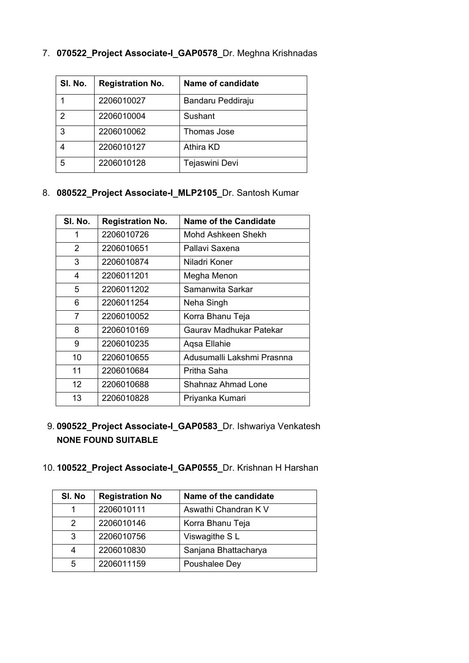| SI. No.       | <b>Registration No.</b> | Name of candidate |
|---------------|-------------------------|-------------------|
|               | 2206010027              | Bandaru Peddiraju |
| $\mathcal{P}$ | 2206010004              | Sushant           |
| 3             | 2206010062              | Thomas Jose       |
|               | 2206010127              | <b>Athira KD</b>  |
| 5             | 2206010128              | Tejaswini Devi    |

7. **070522\_Project Associate-I\_GAP0578\_**Dr. Meghna Krishnadas

#### 8. **080522\_Project Associate-I\_MLP2105\_**Dr. Santosh Kumar

| SI. No.           | <b>Registration No.</b> | <b>Name of the Candidate</b> |
|-------------------|-------------------------|------------------------------|
| 1                 | 2206010726              | Mohd Ashkeen Shekh           |
| 2                 | 2206010651              | Pallavi Saxena               |
| 3                 | 2206010874              | Niladri Koner                |
| 4                 | 2206011201              | Megha Menon                  |
| 5                 | 2206011202              | Samanwita Sarkar             |
| 6                 | 2206011254              | Neha Singh                   |
| 7                 | 2206010052              | Korra Bhanu Teja             |
| 8                 | 2206010169              | Gaurav Madhukar Patekar      |
| 9                 | 2206010235              | Agsa Ellahie                 |
| 10                | 2206010655              | Adusumalli Lakshmi Prasnna   |
| 11                | 2206010684              | Pritha Saha                  |
| $12 \overline{ }$ | 2206010688              | Shahnaz Ahmad Lone           |
| 13                | 2206010828              | Priyanka Kumari              |

9.**090522\_Project Associate-I\_GAP0583\_**Dr. Ishwariya Venkatesh **NONE FOUND SUITABLE**

### 10.**100522\_Project Associate-I\_GAP0555\_**Dr. Krishnan H Harshan

| SI. No | <b>Registration No</b> | Name of the candidate |
|--------|------------------------|-----------------------|
|        | 2206010111             | Aswathi Chandran K V  |
| 2      | 2206010146             | Korra Bhanu Teja      |
| 3      | 2206010756             | Viswagithe SL         |
|        | 2206010830             | Sanjana Bhattacharya  |
| 5      | 2206011159             | Poushalee Dey         |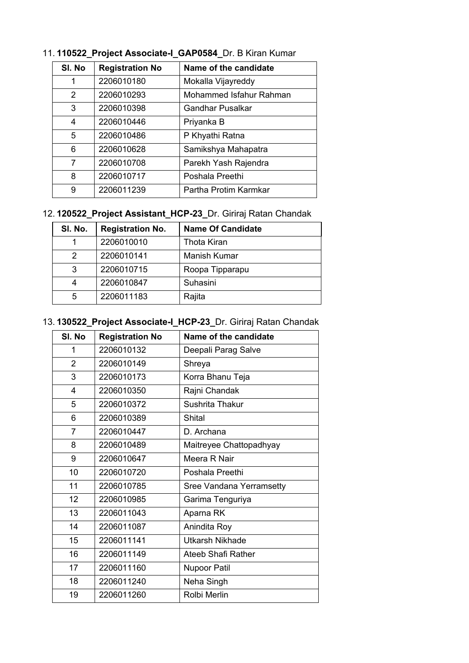| SI. No         | <b>Registration No</b> | Name of the candidate   |
|----------------|------------------------|-------------------------|
| 1              | 2206010180             | Mokalla Vijayreddy      |
| $\overline{2}$ | 2206010293             | Mohammed Isfahur Rahman |
| 3              | 2206010398             | Gandhar Pusalkar        |
| 4              | 2206010446             | Priyanka B              |
| 5              | 2206010486             | P Khyathi Ratna         |
| 6              | 2206010628             | Samikshya Mahapatra     |
| 7              | 2206010708             | Parekh Yash Rajendra    |
| 8              | 2206010717             | Poshala Preethi         |
| 9              | 2206011239             | Partha Protim Karmkar   |

# 11.**110522\_Project Associate-I\_GAP0584\_**Dr. B Kiran Kumar

# 12.**120522\_Project Assistant\_HCP-23\_**Dr. Giriraj Ratan Chandak

| SI. No. | <b>Registration No.</b> | <b>Name Of Candidate</b> |
|---------|-------------------------|--------------------------|
|         | 2206010010              | Thota Kiran              |
| 2       | 2206010141              | Manish Kumar             |
| 3       | 2206010715              | Roopa Tipparapu          |
| 4       | 2206010847              | Suhasini                 |
| 5       | 2206011183              | Rajita                   |

### 13.**130522\_Project Associate-I\_HCP-23\_**Dr. Giriraj Ratan Chandak

| SI. No         | <b>Registration No</b> | Name of the candidate     |
|----------------|------------------------|---------------------------|
| 1              | 2206010132             | Deepali Parag Salve       |
| $\overline{2}$ | 2206010149             | Shreya                    |
| 3              | 2206010173             | Korra Bhanu Teja          |
| 4              | 2206010350             | Rajni Chandak             |
| 5              | 2206010372             | Sushrita Thakur           |
| 6              | 2206010389             | Shital                    |
| 7              | 2206010447             | D. Archana                |
| 8              | 2206010489             | Maitreyee Chattopadhyay   |
| 9              | 2206010647             | Meera R Nair              |
| 10             | 2206010720             | Poshala Preethi           |
| 11             | 2206010785             | Sree Vandana Yerramsetty  |
| 12             | 2206010985             | Garima Tenguriya          |
| 13             | 2206011043             | Aparna RK                 |
| 14             | 2206011087             | Anindita Roy              |
| 15             | 2206011141             | <b>Utkarsh Nikhade</b>    |
| 16             | 2206011149             | <b>Ateeb Shafi Rather</b> |
| 17             | 2206011160             | <b>Nupoor Patil</b>       |
| 18             | 2206011240             | Neha Singh                |
| 19             | 2206011260             | Rolbi Merlin              |